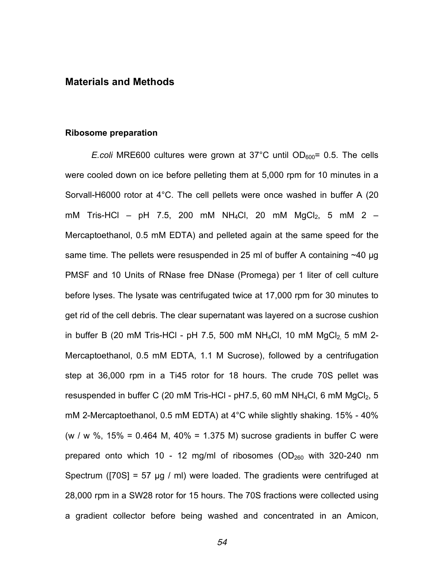# **Materials and Methods**

#### **Ribosome preparation**

*E.coli* MRE600 cultures were grown at 37 $^{\circ}$ C until OD<sub>600</sub>= 0.5. The cells were cooled down on ice before pelleting them at 5,000 rpm for 10 minutes in a Sorvall-H6000 rotor at 4°C. The cell pellets were once washed in buffer A (20 mM Tris-HCl – pH 7.5, 200 mM NH<sub>4</sub>Cl, 20 mM MgCl<sub>2</sub>, 5 mM 2 – Mercaptoethanol, 0.5 mM EDTA) and pelleted again at the same speed for the same time. The pellets were resuspended in 25 ml of buffer A containing  $\sim$ 40 µg PMSF and 10 Units of RNase free DNase (Promega) per 1 liter of cell culture before lyses. The lysate was centrifugated twice at 17,000 rpm for 30 minutes to get rid of the cell debris. The clear supernatant was layered on a sucrose cushion in buffer B (20 mM Tris-HCl - pH 7.5, 500 mM NH<sub>4</sub>Cl, 10 mM MgCl<sub>2</sub> 5 mM 2-Mercaptoethanol, 0.5 mM EDTA, 1.1 M Sucrose), followed by a centrifugation step at 36,000 rpm in a Ti45 rotor for 18 hours. The crude 70S pellet was resuspended in buffer C (20 mM Tris-HCl -  $pH7.5$ , 60 mM NH<sub>4</sub>Cl, 6 mM MgCl<sub>2</sub>, 5 mM 2-Mercaptoethanol, 0.5 mM EDTA) at 4°C while slightly shaking. 15% - 40% (w / w  $\%$ , 15% = 0.464 M, 40% = 1.375 M) sucrose gradients in buffer C were prepared onto which 10 - 12 mg/ml of ribosomes ( $OD<sub>260</sub>$  with 320-240 nm Spectrum ([70S] = 57  $\mu$ g / ml) were loaded. The gradients were centrifuged at 28,000 rpm in a SW28 rotor for 15 hours. The 70S fractions were collected using a gradient collector before being washed and concentrated in an Amicon,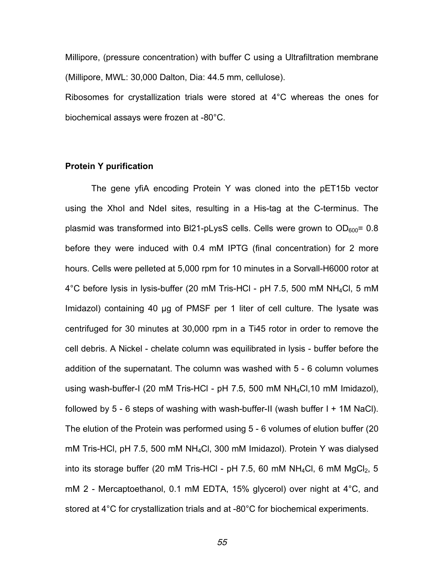Millipore, (pressure concentration) with buffer C using a Ultrafiltration membrane (Millipore, MWL: 30,000 Dalton, Dia: 44.5 mm, cellulose). Ribosomes for crystallization trials were stored at 4°C whereas the ones for biochemical assays were frozen at -80°C.

### **Protein Y purification**

The gene yfiA encoding Protein Y was cloned into the pET15b vector using the XhoI and NdeI sites, resulting in a His-tag at the C-terminus. The plasmid was transformed into BI21-pLysS cells. Cells were grown to  $OD<sub>600</sub>= 0.8$ before they were induced with 0.4 mM IPTG (final concentration) for 2 more hours. Cells were pelleted at 5,000 rpm for 10 minutes in a Sorvall-H6000 rotor at 4°C before lysis in lysis-buffer (20 mM Tris-HCl - pH 7.5, 500 mM NH4Cl, 5 mM Imidazol) containing 40 µg of PMSF per 1 liter of cell culture. The lysate was centrifuged for 30 minutes at 30,000 rpm in a Ti45 rotor in order to remove the cell debris. A Nickel - chelate column was equilibrated in lysis - buffer before the addition of the supernatant. The column was washed with 5 - 6 column volumes using wash-buffer-I (20 mM Tris-HCl - pH 7.5, 500 mM NH4Cl,10 mM Imidazol), followed by 5 - 6 steps of washing with wash-buffer-II (wash buffer I + 1M NaCl). The elution of the Protein was performed using 5 - 6 volumes of elution buffer (20 mM Tris-HCl, pH 7.5, 500 mM NH4Cl, 300 mM Imidazol). Protein Y was dialysed into its storage buffer (20 mM Tris-HCl - pH 7.5, 60 mM NH<sub>4</sub>Cl, 6 mM MgCl<sub>2</sub>, 5 mM 2 - Mercaptoethanol, 0.1 mM EDTA, 15% glycerol) over night at 4°C, and stored at 4°C for crystallization trials and at -80°C for biochemical experiments.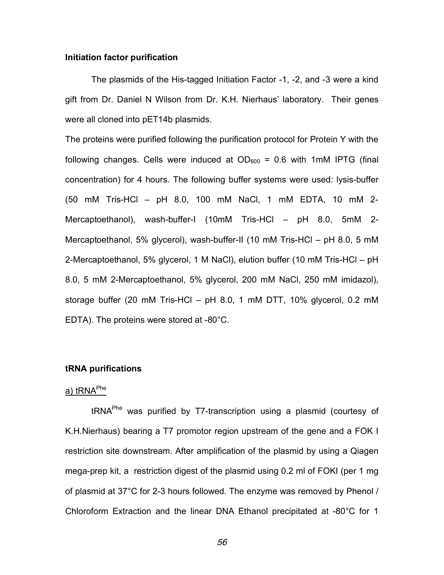#### **Initiation factor purification**

The plasmids of the His-tagged Initiation Factor -1, -2, and -3 were a kind gift from Dr. Daniel N Wilson from Dr. K.H. Nierhaus' laboratory. Their genes were all cloned into pET14b plasmids.

The proteins were purified following the purification protocol for Protein Y with the following changes. Cells were induced at  $OD<sub>600</sub> = 0.6$  with 1mM IPTG (final concentration) for 4 hours. The following buffer systems were used: lysis-buffer (50 mM Tris-HCl – pH 8.0, 100 mM NaCl, 1 mM EDTA, 10 mM 2- Mercaptoethanol), wash-buffer-I (10mM Tris-HCl – pH 8.0, 5mM 2- Mercaptoethanol, 5% glycerol), wash-buffer-II (10 mM Tris-HCl – pH 8.0, 5 mM 2-Mercaptoethanol, 5% glycerol, 1 M NaCl), elution buffer (10 mM Tris-HCl – pH 8.0, 5 mM 2-Mercaptoethanol, 5% glycerol, 200 mM NaCl, 250 mM imidazol), storage buffer (20 mM Tris-HCl – pH 8.0, 1 mM DTT, 10% glycerol, 0.2 mM EDTA). The proteins were stored at -80°C.

## **tRNA purifications**

# a) tRNA<sup>Phe</sup>

tRNAPhe was purified by T7-transcription using a plasmid (courtesy of K.H.Nierhaus) bearing a T7 promotor region upstream of the gene and a FOK I restriction site downstream. After amplification of the plasmid by using a Qiagen mega-prep kit, a restriction digest of the plasmid using 0.2 ml of FOKI (per 1 mg of plasmid at 37°C for 2-3 hours followed. The enzyme was removed by Phenol / Chloroform Extraction and the linear DNA Ethanol precipitated at -80°C for 1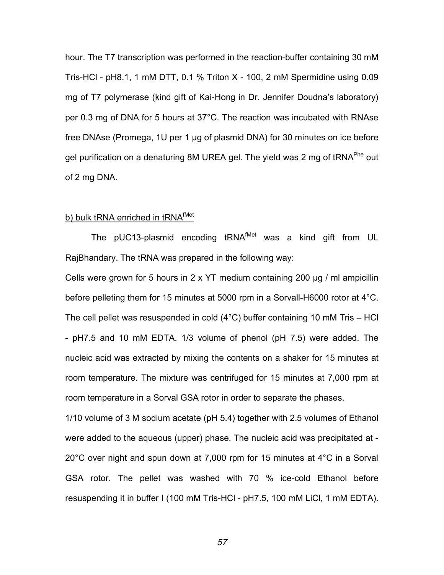hour. The T7 transcription was performed in the reaction-buffer containing 30 mM Tris-HCl - pH8.1, 1 mM DTT, 0.1 % Triton X - 100, 2 mM Spermidine using 0.09 mg of T7 polymerase (kind gift of Kai-Hong in Dr. Jennifer Doudna's laboratory) per 0.3 mg of DNA for 5 hours at 37°C. The reaction was incubated with RNAse free DNAse (Promega, 1U per 1 µg of plasmid DNA) for 30 minutes on ice before gel purification on a denaturing 8M UREA gel. The yield was 2 mg of tRNA<sup>Phe</sup> out of 2 mg DNA.

## b) bulk tRNA enriched in tRNA<sup>fMet</sup>

The pUC13-plasmid encoding tRNA<sup>fMet</sup> was a kind gift from UL RajBhandary. The tRNA was prepared in the following way:

Cells were grown for 5 hours in 2 x YT medium containing 200 µg / ml ampicillin before pelleting them for 15 minutes at 5000 rpm in a Sorvall-H6000 rotor at 4°C. The cell pellet was resuspended in cold (4°C) buffer containing 10 mM Tris – HCl - pH7.5 and 10 mM EDTA. 1/3 volume of phenol (pH 7.5) were added. The nucleic acid was extracted by mixing the contents on a shaker for 15 minutes at room temperature. The mixture was centrifuged for 15 minutes at 7,000 rpm at room temperature in a Sorval GSA rotor in order to separate the phases.

1/10 volume of 3 M sodium acetate (pH 5.4) together with 2.5 volumes of Ethanol were added to the aqueous (upper) phase. The nucleic acid was precipitated at - 20°C over night and spun down at 7,000 rpm for 15 minutes at 4°C in a Sorval GSA rotor. The pellet was washed with 70 % ice-cold Ethanol before resuspending it in buffer I (100 mM Tris-HCl - pH7.5, 100 mM LiCl, 1 mM EDTA).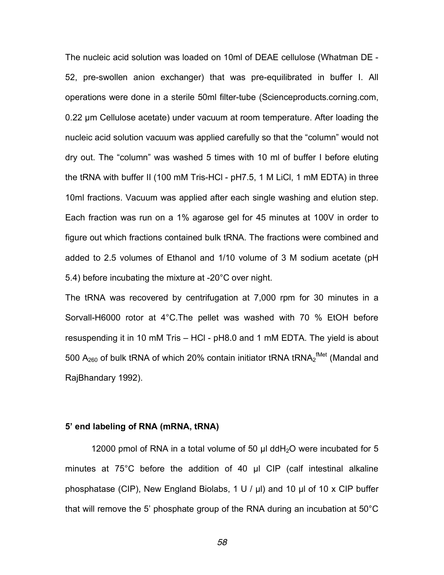The nucleic acid solution was loaded on 10ml of DEAE cellulose (Whatman DE - 52, pre-swollen anion exchanger) that was pre-equilibrated in buffer I. All operations were done in a sterile 50ml filter-tube (Scienceproducts.corning.com, 0.22 µm Cellulose acetate) under vacuum at room temperature. After loading the nucleic acid solution vacuum was applied carefully so that the "column" would not dry out. The "column" was washed 5 times with 10 ml of buffer I before eluting the tRNA with buffer II (100 mM Tris-HCl - pH7.5, 1 M LiCl, 1 mM EDTA) in three 10ml fractions. Vacuum was applied after each single washing and elution step. Each fraction was run on a 1% agarose gel for 45 minutes at 100V in order to figure out which fractions contained bulk tRNA. The fractions were combined and added to 2.5 volumes of Ethanol and 1/10 volume of 3 M sodium acetate (pH 5.4) before incubating the mixture at -20°C over night.

The tRNA was recovered by centrifugation at 7,000 rpm for 30 minutes in a Sorvall-H6000 rotor at 4°C.The pellet was washed with 70 % EtOH before resuspending it in 10 mM Tris – HCl - pH8.0 and 1 mM EDTA. The yield is about 500 A<sub>260</sub> of bulk tRNA of which 20% contain initiator tRNA tRNA2<sup>fMet</sup> (Mandal and RajBhandary 1992).

#### **5' end labeling of RNA (mRNA, tRNA)**

12000 pmol of RNA in a total volume of 50  $\mu$ l ddH<sub>2</sub>O were incubated for 5 minutes at 75°C before the addition of 40 µl CIP (calf intestinal alkaline phosphatase (CIP), New England Biolabs, 1 U / µl) and 10 µl of 10 x CIP buffer that will remove the 5' phosphate group of the RNA during an incubation at 50°C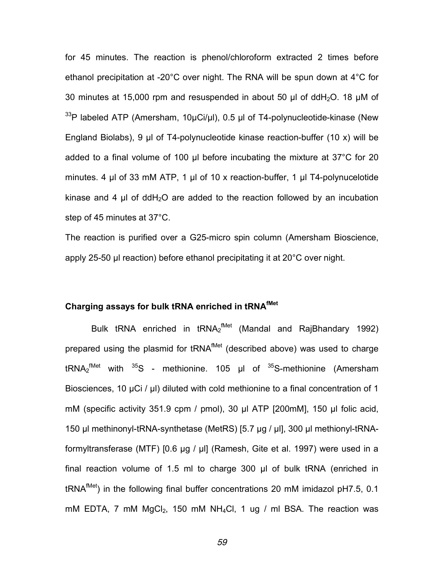for 45 minutes. The reaction is phenol/chloroform extracted 2 times before ethanol precipitation at -20°C over night. The RNA will be spun down at 4°C for 30 minutes at 15,000 rpm and resuspended in about 50  $\mu$ l of ddH<sub>2</sub>O. 18  $\mu$ M of <sup>33</sup>P labeled ATP (Amersham, 10µCi/µl), 0.5 µl of T4-polynucleotide-kinase (New England Biolabs), 9 µl of T4-polynucleotide kinase reaction-buffer (10 x) will be added to a final volume of 100 µl before incubating the mixture at 37°C for 20 minutes. 4 µl of 33 mM ATP, 1 µl of 10 x reaction-buffer, 1 µl T4-polynucelotide kinase and 4  $\mu$  of ddH<sub>2</sub>O are added to the reaction followed by an incubation step of 45 minutes at 37°C.

The reaction is purified over a G25-micro spin column (Amersham Bioscience, apply 25-50 µl reaction) before ethanol precipitating it at 20°C over night.

# **Charging assays for bulk tRNA enriched in tRNAfMet**

Bulk tRNA enriched in tRNA<sub>2</sub><sup>fMet</sup> (Mandal and RajBhandary 1992) prepared using the plasmid for tRNA<sup>fMet</sup> (described above) was used to charge tRNA<sub>2</sub><sup>fMet</sup> with <sup>35</sup>S - methionine. 105 µl of <sup>35</sup>S-methionine (Amersham Biosciences, 10 µCi / µl) diluted with cold methionine to a final concentration of 1 mM (specific activity 351.9 cpm / pmol), 30 µl ATP [200mM], 150 µl folic acid, 150 µl methinonyl-tRNA-synthetase (MetRS) [5.7 µg / µl], 300 µl methionyl-tRNAformyltransferase (MTF) [0.6 µg / µl] (Ramesh, Gite et al. 1997) were used in a final reaction volume of 1.5 ml to charge 300 µl of bulk tRNA (enriched in tRNA<sup>fMet</sup>) in the following final buffer concentrations 20 mM imidazol pH7.5, 0.1 mM EDTA, 7 mM MgCl<sub>2</sub>, 150 mM NH<sub>4</sub>Cl, 1 ug / ml BSA. The reaction was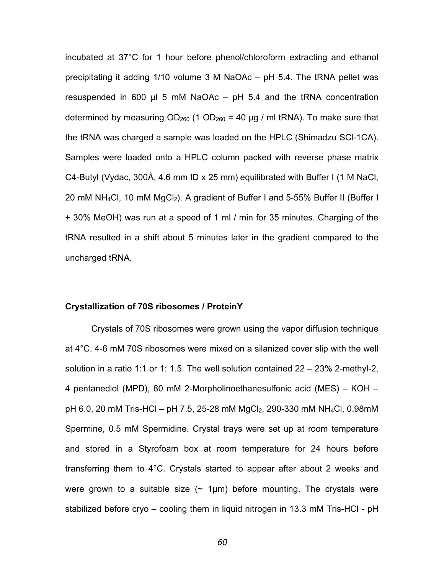incubated at 37°C for 1 hour before phenol/chloroform extracting and ethanol precipitating it adding 1/10 volume 3 M NaOAc – pH 5.4. The tRNA pellet was resuspended in 600  $\mu$  5 mM NaOAc – pH 5.4 and the tRNA concentration determined by measuring  $OD_{260}$  (1  $OD_{260}$  = 40 µg / ml tRNA). To make sure that the tRNA was charged a sample was loaded on the HPLC (Shimadzu SCl-1CA). Samples were loaded onto a HPLC column packed with reverse phase matrix C4-Butyl (Vydac, 300Å, 4.6 mm ID x 25 mm) equilibrated with Buffer I (1 M NaCl, 20 mM NH<sub>4</sub>Cl, 10 mM MgCl<sub>2</sub>). A gradient of Buffer I and 5-55% Buffer II (Buffer I + 30% MeOH) was run at a speed of 1 ml / min for 35 minutes. Charging of the tRNA resulted in a shift about 5 minutes later in the gradient compared to the uncharged tRNA.

#### **Crystallization of 70S ribosomes / ProteinY**

Crystals of 70S ribosomes were grown using the vapor diffusion technique at 4°C. 4-6 mM 70S ribosomes were mixed on a silanized cover slip with the well solution in a ratio 1:1 or 1: 1.5. The well solution contained 22 – 23% 2-methyl-2, 4 pentanediol (MPD), 80 mM 2-Morpholinoethanesulfonic acid (MES) – KOH –  $pH$  6.0, 20 mM Tris-HCl –  $pH$  7.5, 25-28 mM MgCl<sub>2</sub>, 290-330 mM NH<sub>4</sub>Cl, 0.98mM Spermine, 0.5 mM Spermidine. Crystal trays were set up at room temperature and stored in a Styrofoam box at room temperature for 24 hours before transferring them to 4°C. Crystals started to appear after about 2 weeks and were grown to a suitable size  $($  1 $\mu$ m) before mounting. The crystals were stabilized before cryo – cooling them in liquid nitrogen in 13.3 mM Tris-HCl - pH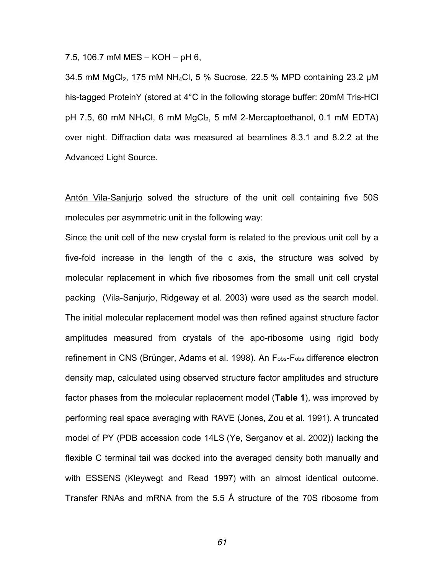7.5, 106.7 mM MES – KOH – pH 6,

34.5 mM MgCl<sub>2</sub>, 175 mM NH<sub>4</sub>Cl, 5 % Sucrose, 22.5 % MPD containing 23.2  $\mu$ M his-tagged ProteinY (stored at 4°C in the following storage buffer: 20mM Tris-HCl pH 7.5, 60 mM NH<sub>4</sub>Cl, 6 mM MgCl<sub>2</sub>, 5 mM 2-Mercaptoethanol, 0.1 mM EDTA) over night. Diffraction data was measured at beamlines 8.3.1 and 8.2.2 at the Advanced Light Source.

Antón Vila-Sanjurjo solved the structure of the unit cell containing five 50S molecules per asymmetric unit in the following way:

Since the unit cell of the new crystal form is related to the previous unit cell by a five-fold increase in the length of the c axis, the structure was solved by molecular replacement in which five ribosomes from the small unit cell crystal packing (Vila-Sanjurjo, Ridgeway et al. 2003) were used as the search model. The initial molecular replacement model was then refined against structure factor amplitudes measured from crystals of the apo-ribosome using rigid body refinement in CNS (Brünger, Adams et al. 1998). An Fobs-Fobs difference electron density map, calculated using observed structure factor amplitudes and structure factor phases from the molecular replacement model (**Table 1**), was improved by performing real space averaging with RAVE (Jones, Zou et al. 1991). A truncated model of PY (PDB accession code 14LS (Ye, Serganov et al. 2002)) lacking the flexible C terminal tail was docked into the averaged density both manually and with ESSENS (Kleywegt and Read 1997) with an almost identical outcome. Transfer RNAs and mRNA from the 5.5 Å structure of the 70S ribosome from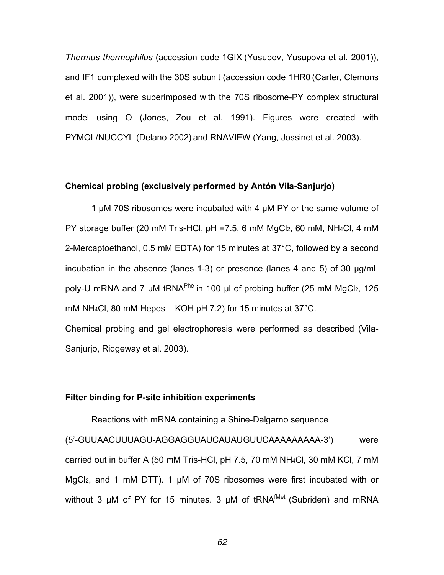*Thermus thermophilus* (accession code 1GIX (Yusupov, Yusupova et al. 2001)), and IF1 complexed with the 30S subunit (accession code 1HR0 (Carter, Clemons et al. 2001)), were superimposed with the 70S ribosome-PY complex structural model using O (Jones, Zou et al. 1991). Figures were created with PYMOL/NUCCYL (Delano 2002) and RNAVIEW (Yang, Jossinet et al. 2003).

#### **Chemical probing (exclusively performed by Antón Vila-Sanjurjo)**

1 µM 70S ribosomes were incubated with 4 µM PY or the same volume of PY storage buffer (20 mM Tris-HCl, pH =7.5, 6 mM MgCl2, 60 mM, NH4Cl, 4 mM 2-Mercaptoethanol, 0.5 mM EDTA) for 15 minutes at 37°C, followed by a second incubation in the absence (lanes 1-3) or presence (lanes 4 and 5) of 30 µg/mL poly-U mRNA and 7  $\mu$ M tRNA<sup>Phe</sup> in 100  $\mu$ l of probing buffer (25 mM MgCl<sub>2</sub>, 125 mM NH4Cl, 80 mM Hepes – KOH pH 7.2) for 15 minutes at 37°C. Chemical probing and gel electrophoresis were performed as described (Vila-Sanjurjo, Ridgeway et al. 2003).

#### **Filter binding for P-site inhibition experiments**

Reactions with mRNA containing a Shine-Dalgarno sequence (5'-GUUAACUUUAGU-AGGAGGUAUCAUAUGUUCAAAAAAAAA-3') were carried out in buffer A (50 mM Tris-HCl, pH 7.5, 70 mM NH4Cl, 30 mM KCl, 7 mM MgCl<sub>2</sub>, and 1 mM DTT). 1 µM of 70S ribosomes were first incubated with or without 3  $\mu$ M of PY for 15 minutes. 3  $\mu$ M of tRNA<sup>fMet</sup> (Subriden) and mRNA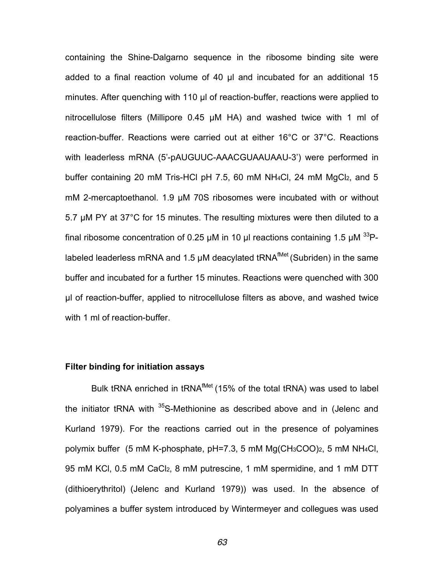containing the Shine-Dalgarno sequence in the ribosome binding site were added to a final reaction volume of 40 µl and incubated for an additional 15 minutes. After quenching with 110 µl of reaction-buffer, reactions were applied to nitrocellulose filters (Millipore 0.45 µM HA) and washed twice with 1 ml of reaction-buffer. Reactions were carried out at either 16°C or 37°C. Reactions with leaderless mRNA (5'-pAUGUUC-AAACGUAAUAAU-3') were performed in buffer containing 20 mM Tris-HCl pH 7.5, 60 mM NH4Cl, 24 mM MgCl2, and 5 mM 2-mercaptoethanol. 1.9 µM 70S ribosomes were incubated with or without 5.7 µM PY at 37°C for 15 minutes. The resulting mixtures were then diluted to a final ribosome concentration of 0.25 µM in 10 µl reactions containing 1.5 µM  $^{33}$ Plabeled leaderless mRNA and 1.5 µM deacylated tRNA<sup>fMet</sup> (Subriden) in the same buffer and incubated for a further 15 minutes. Reactions were quenched with 300 µl of reaction-buffer, applied to nitrocellulose filters as above, and washed twice with 1 ml of reaction-buffer.

#### **Filter binding for initiation assays**

Bulk tRNA enriched in tRNA<sup>fMet</sup> (15% of the total tRNA) was used to label the initiator tRNA with <sup>35</sup>S-Methionine as described above and in (Jelenc and Kurland 1979). For the reactions carried out in the presence of polyamines polymix buffer (5 mM K-phosphate, pH=7.3, 5 mM Mg(CH3COO)2, 5 mM NH4Cl, 95 mM KCl, 0.5 mM CaCl2, 8 mM putrescine, 1 mM spermidine, and 1 mM DTT (dithioerythritol) (Jelenc and Kurland 1979)) was used. In the absence of polyamines a buffer system introduced by Wintermeyer and collegues was used